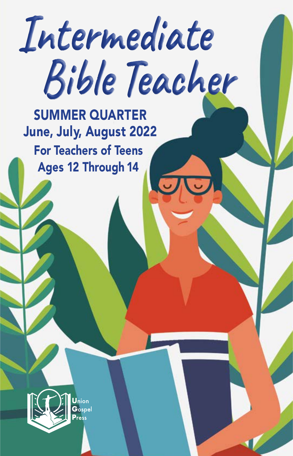# **Intermediate Bible Teacher**

 SUMMER QUARTER June, July, August 2022 For Teachers of Teens Ages 12 Through 14

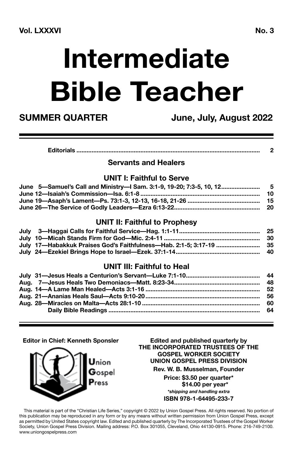## **Intermediate Bible Teacher**

**SUMMER QUARTER June, July, August 2022**

|--|--|

### **Servants and Healers**

### **UNIT I: Faithful to Serve**

| June 5-Samuel's Call and Ministry-I Sam. 3:1-9, 19-20; 7:3-5, 10, 12 5            |     |
|-----------------------------------------------------------------------------------|-----|
|                                                                                   | -10 |
| June 19—Asaph's Lament—Ps. 73:1-3, 12-13, 16-18, 21-26 …………………………………………………………………… |     |
|                                                                                   |     |

### **UNIT II: Faithful to Prophesy**

|                                                                               | -25 |
|-------------------------------------------------------------------------------|-----|
|                                                                               |     |
| July 17—Habakkuk Praises God's Faithfulness—Hab. 2:1-5; 3:17-19 ………………………… 35 |     |
|                                                                               |     |

### **UNIT III: Faithful to Heal**

#### **Editor in Chief: Kenneth Sponsler**



**Edited and published quarterly by THE INCORPORATED TRUSTEES OF THE GOSPEL WORKER SOCIETY UNION GOSPEL PRESS DIVISION**

**Rev. W. B. Musselman, Founder**

**Price: \$3.50 per quarter\* \$14.00 per year\*** *\*shipping and handling extra* **ISBN 978-1-64495-233-7**

This material is part of the "Christian Life Series," copyright © 2022 by Union Gospel Press. All rights reserved. No portion of this publication may be reproduced in any form or by any means without written permission from Union Gospel Press, except as permitted by United States copyright law. Edited and published quarterly by The Incorporated Trustees of the Gospel Worker Society, Union Gospel Press Division. Mailing address: P.O. Box 301055, Cleveland, Ohio 44130-0915. Phone: 216-749-2100. www.uniongospelpress.com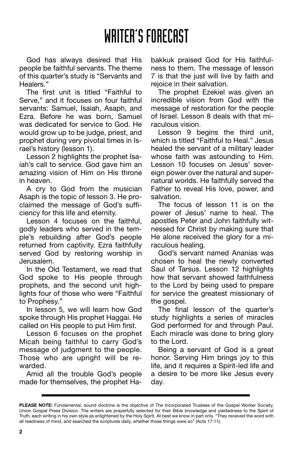### WRITER'S FORECAST

God has always desired that His people be faithful servants. The theme of this quarter's study is "Servants and Healers."

The first unit is titled "Faithful to Serve," and it focuses on four faithful servants: Samuel, Isaiah, Asaph, and Ezra. Before he was born, Samuel was dedicated for service to God. He would grow up to be judge, priest, and prophet during very pivotal times in Israel's history (lesson 1).

Lesson 2 highlights the prophet Isaiah's call to service. God gave him an amazing vision of Him on His throne in heaven.

A cry to God from the musician Asaph is the topic of lesson 3. He proclaimed the message of God's sufficiency for this life and eternity.

Lesson 4 focuses on the faithful, godly leaders who served in the temple's rebuilding after God's people returned from captivity. Ezra faithfully served God by restoring worship in Jerusalem.

In the Old Testament, we read that God spoke to His people through prophets, and the second unit highlights four of those who were "Faithful to Prophesy."

In lesson 5, we will learn how God spoke through His prophet Haggai. He called on His people to put Him first.

Lesson 6 focuses on the prophet Micah being faithful to carry God's message of judgment to the people. Those who are upright will be rewarded.

Amid all the trouble God's people made for themselves, the prophet Habakkuk praised God for His faithfulness to them. The message of lesson 7 is that the just will live by faith and rejoice in their salvation.

The prophet Ezekiel was given an incredible vision from God with the message of restoration for the people of Israel. Lesson 8 deals with that miraculous vision.

Lesson 9 begins the third unit, which is titled "Faithful to Heal." Jesus healed the servant of a military leader whose faith was astounding to Him. Lesson 10 focuses on Jesus' sovereign power over the natural and supernatural worlds. He faithfully served the Father to reveal His love, power, and salvation.

The focus of lesson 11 is on the power of Jesus' name to heal. The apostles Peter and John faithfully witnessed for Christ by making sure that He alone received the glory for a miraculous healing.

God's servant named Ananias was chosen to heal the newly converted Saul of Tarsus. Lesson 12 highlights how that servant showed faithfulness to the Lord by being used to prepare for service the greatest missionary of the gospel.

The final lesson of the quarter's study highlights a series of miracles God performed for and through Paul. Each miracle was done to bring glory to the Lord.

Being a servant of God is a great honor. Serving Him brings joy to this life, and it requires a Spirit-led life and a desire to be more like Jesus every day.

**PLEASE NOTE:** Fundamental, sound doctrine is the objective of The Incorporated Trustees of the Gospel Worker Society, Union Gospel Press Division. The writers are prayerfully selected for their Bible knowledge and yieldedness to the Spirit of Truth, each writing in his own style as enlightened by the Holy Spirit. At best we know in part only. "They received the word with all readiness of mind, and searched the scriptures daily, whether those things were so" (Acts 17:11).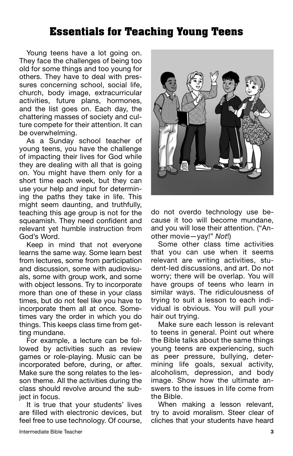### Essentials for Teaching Young Teens

Young teens have a lot going on. They face the challenges of being too old for some things and too young for others. They have to deal with pressures concerning school, social life, church, body image, extracurricular activities, future plans, hormones, and the list goes on. Each day, the chattering masses of society and culture compete for their attention. It can be overwhelming.

As a Sunday school teacher of young teens, you have the challenge of impacting their lives for God while they are dealing with all that is going on. You might have them only for a short time each week, but they can use your help and input for determining the paths they take in life. This might seem daunting, and truthfully, teaching this age group is not for the squeamish. They need confident and relevant yet humble instruction from God's Word.

Keep in mind that not everyone learns the same way. Some learn best from lectures, some from participation and discussion, some with audiovisuals, some with group work, and some with object lessons. Try to incorporate more than one of these in your class times, but do not feel like you have to incorporate them all at once. Sometimes vary the order in which you do things. This keeps class time from getting mundane.

For example, a lecture can be followed by activities such as review games or role-playing. Music can be incorporated before, during, or after. Make sure the song relates to the lesson theme. All the activities during the class should revolve around the subject in focus.

It is true that your students' lives are filled with electronic devices, but feel free to use technology. Of course,



do not overdo technology use because it too will become mundane, and you will lose their attention. ("Another movie—yay!" *Not*!)

Some other class time activities that you can use when it seems relevant are writing activities, student-led discussions, and art. Do not worry; there will be overlap. You will have groups of teens who learn in similar ways. The ridiculousness of trying to suit a lesson to each individual is obvious. You will pull your hair out trying.

Make sure each lesson is relevant to teens in general. Point out where the Bible talks about the same things young teens are experiencing, such as peer pressure, bullying, determining life goals, sexual activity, alcoholism, depression, and body image. Show how the ultimate answers to the issues in life come from the Bible.

When making a lesson relevant, try to avoid moralism. Steer clear of cliches that your students have heard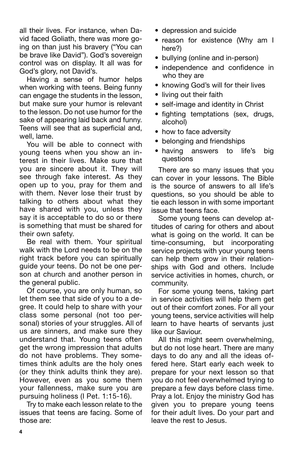all their lives. For instance, when David faced Goliath, there was more going on than just his bravery ("You can be brave like David"). God's sovereign control was on display. It all was for God's glory, not David's.

Having a sense of humor helps when working with teens. Being funny can engage the students in the lesson, but make sure your humor is relevant to the lesson. Do not use humor for the sake of appearing laid back and funny. Teens will see that as superficial and, well, lame.

You will be able to connect with young teens when you show an interest in their lives. Make sure that you are sincere about it. They will see through fake interest. As they open up to you, pray for them and with them. Never lose their trust by talking to others about what they have shared with you, unless they say it is acceptable to do so or there is something that must be shared for their own safety.

Be real with them. Your spiritual walk with the Lord needs to be on the right track before you can spiritually guide your teens. Do not be one person at church and another person in the general public.

Of course, you are only human, so let them see that side of you to a degree. It could help to share with your class some personal (not too personal) stories of your struggles. All of us are sinners, and make sure they understand that. Young teens often get the wrong impression that adults do not have problems. They sometimes think adults are the holy ones (or they think adults think they are). However, even as you some them your fallenness, make sure you are pursuing holiness (I Pet. 1:15-16).

Try to make each lesson relate to the issues that teens are facing. Some of those are:

- depression and suicide
- reason for existence (Why am I here?)
- bullying (online and in-person)
- independence and confidence in who they are
- knowing God's will for their lives
- living out their faith
- self-image and identity in Christ
- fighting temptations (sex, drugs, alcohol)
- how to face adversity
- belonging and friendships
- having answers to life's big questions

There are so many issues that you can cover in your lessons. The Bible is the source of answers to all life's questions, so you should be able to tie each lesson in with some important issue that teens face.

Some young teens can develop attitudes of caring for others and about what is going on the world. It can be time-consuming, but incorporating service projects with your young teens can help them grow in their relationships with God and others. Include service activities in homes, church, or community.

For some young teens, taking part in service activities will help them get out of their comfort zones. For all your young teens, service activities will help learn to have hearts of servants just like our Saviour.

All this might seem overwhelming, but do not lose heart. There are many days to do any and all the ideas offered here. Start early each week to prepare for your next lesson so that you do not feel overwhelmed trying to prepare a few days before class time. Pray a lot. Enjoy the ministry God has given you to prepare young teens for their adult lives. Do your part and leave the rest to Jesus.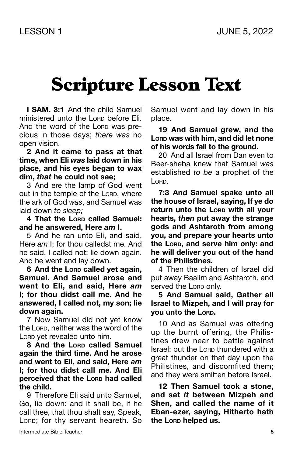### Scripture Lesson Text

**I SAM. 3:1** And the child Samuel ministered unto the Lorp before Eli. And the word of the Lorp was precious in those days; *there was* no open vision.

**2 And it came to pass at that time, when Eli** *was* **laid down in his place, and his eyes began to wax dim,** *that* **he could not see;**

3 And ere the lamp of God went out in the temple of the LORD, where the ark of God *was*, and Samuel was laid down *to sleep;*

**4 That the Lord called Samuel: and he answered, Here** *am* **I.**

5 And he ran unto Eli, and said, Here *am* I; for thou calledst me. And he said, I called not; lie down again. And he went and lay down.

 $6$  **And the Lorp called yet again. Samuel. And Samuel arose and went to Eli, and said, Here** *am* **I; for thou didst call me. And he answered, I called not, my son; lie down again.**

7 Now Samuel did not yet know the Lorp, neither was the word of the Lorp yet revealed unto him.

**8 And the Lord called Samuel again the third time. And he arose and went to Eli, and said, Here** *am* **I; for thou didst call me. And Eli perceived that the Lord had called the child.**

9 Therefore Eli said unto Samuel, Go, lie down: and it shall be, if he call thee, that thou shalt say, Speak, LORD; for thy servant heareth. So Samuel went and lay down in his place.

**19 And Samuel grew, and the Lord was with him, and did let none of his words fall to the ground.**

20 And all Israel from Dan even to Beer-sheba knew that Samuel *was* established *to be* a prophet of the L<sub>ORD</sub>.

**7:3 And Samuel spake unto all the house of Israel, saying, If ye do return unto the Lorp with all your hearts,** *then* **put away the strange gods and Ashtaroth from among you, and prepare your hearts unto the Lord, and serve him only: and he will deliver you out of the hand of the Philistines.**

4 Then the children of Israel did put away Baalim and Ashtaroth, and served the Lorp only.

#### **5 And Samuel said, Gather all Israel to Mizpeh, and I will pray for you unto the Lord.**

10 And as Samuel was offering up the burnt offering, the Philistines drew near to battle against Israel: but the Lorp thundered with a great thunder on that day upon the Philistines, and discomfited them; and they were smitten before Israel.

**12 Then Samuel took a stone, and set** *it* **between Mizpeh and Shen, and called the name of it Eben-ezer, saying, Hitherto hath the Lord helped us.**